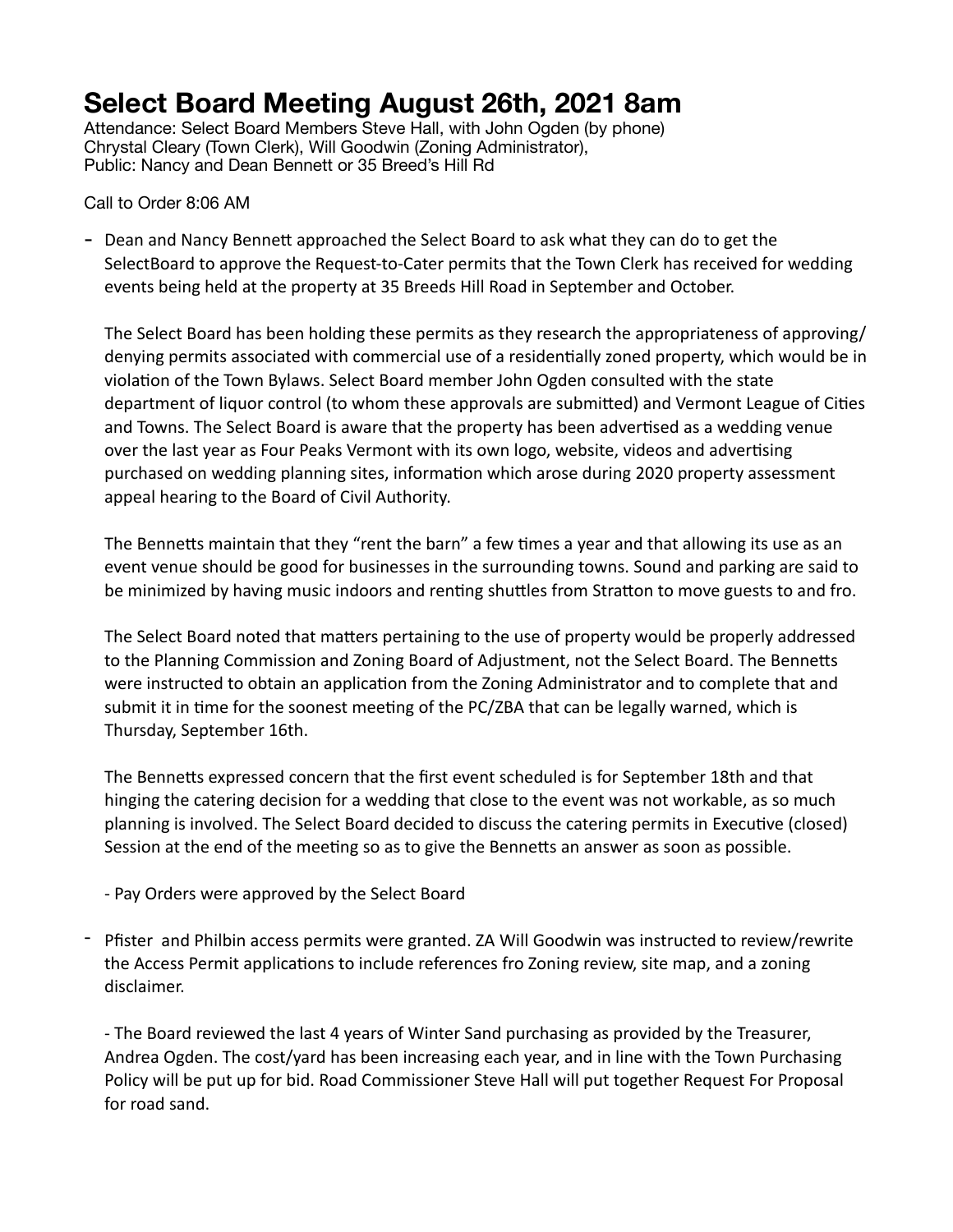## **Select Board Meeting August 26th, 2021 8am**

Attendance: Select Board Members Steve Hall, with John Ogden (by phone) Chrystal Cleary (Town Clerk), Will Goodwin (Zoning Administrator), Public: Nancy and Dean Bennett or 35 Breed's Hill Rd

Call to Order 8:06 AM

- Dean and Nancy Bennett approached the Select Board to ask what they can do to get the SelectBoard to approve the Request-to-Cater permits that the Town Clerk has received for wedding events being held at the property at 35 Breeds Hill Road in September and October.

The Select Board has been holding these permits as they research the appropriateness of approving/ denying permits associated with commercial use of a residentially zoned property, which would be in violation of the Town Bylaws. Select Board member John Ogden consulted with the state department of liquor control (to whom these approvals are submitted) and Vermont League of Cities and Towns. The Select Board is aware that the property has been advertised as a wedding venue over the last year as Four Peaks Vermont with its own logo, website, videos and advertising purchased on wedding planning sites, information which arose during 2020 property assessment appeal hearing to the Board of Civil Authority.

The Bennetts maintain that they "rent the barn" a few times a year and that allowing its use as an event venue should be good for businesses in the surrounding towns. Sound and parking are said to be minimized by having music indoors and renting shuttles from Stratton to move guests to and fro.

The Select Board noted that matters pertaining to the use of property would be properly addressed to the Planning Commission and Zoning Board of Adjustment, not the Select Board. The Bennetts were instructed to obtain an application from the Zoning Administrator and to complete that and submit it in time for the soonest meeting of the PC/ZBA that can be legally warned, which is Thursday, September 16th.

The Bennetts expressed concern that the first event scheduled is for September 18th and that hinging the catering decision for a wedding that close to the event was not workable, as so much planning is involved. The Select Board decided to discuss the catering permits in Executive (closed) Session at the end of the meeting so as to give the Bennetts an answer as soon as possible.

- Pay Orders were approved by the Select Board

- Pfister and Philbin access permits were granted. ZA Will Goodwin was instructed to review/rewrite the Access Permit applications to include references fro Zoning review, site map, and a zoning disclaimer.

- The Board reviewed the last 4 years of Winter Sand purchasing as provided by the Treasurer, Andrea Ogden. The cost/yard has been increasing each year, and in line with the Town Purchasing Policy will be put up for bid. Road Commissioner Steve Hall will put together Request For Proposal for road sand.